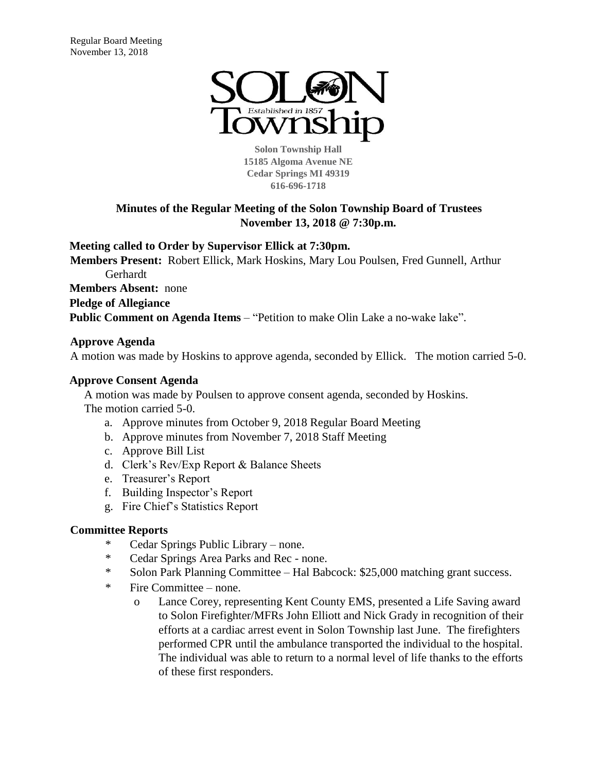

**Solon Township Hall 15185 Algoma Avenue NE Cedar Springs MI 49319 616-696-1718** 

# **Minutes of the Regular Meeting of the Solon Township Board of Trustees November 13, 2018 @ 7:30p.m.**

**Meeting called to Order by Supervisor Ellick at 7:30pm.** 

**Members Present:** Robert Ellick, Mark Hoskins, Mary Lou Poulsen, Fred Gunnell, Arthur Gerhardt

**Members Absent:** none

**Pledge of Allegiance**

**Public Comment on Agenda Items** – "Petition to make Olin Lake a no-wake lake".

# **Approve Agenda**

A motion was made by Hoskins to approve agenda, seconded by Ellick. The motion carried 5-0.

# **Approve Consent Agenda**

A motion was made by Poulsen to approve consent agenda, seconded by Hoskins. The motion carried 5-0.

- a. Approve minutes from October 9, 2018 Regular Board Meeting
- b. Approve minutes from November 7, 2018 Staff Meeting
- c. Approve Bill List
- d. Clerk's Rev/Exp Report & Balance Sheets
- e. Treasurer's Report
- f. Building Inspector's Report
- g. Fire Chief's Statistics Report

## **Committee Reports**

- \* Cedar Springs Public Library none.
- \* Cedar Springs Area Parks and Rec none.
- \* Solon Park Planning Committee Hal Babcock: \$25,000 matching grant success.
- \* Fire Committee none.
	- o Lance Corey, representing Kent County EMS, presented a Life Saving award to Solon Firefighter/MFRs John Elliott and Nick Grady in recognition of their efforts at a cardiac arrest event in Solon Township last June. The firefighters performed CPR until the ambulance transported the individual to the hospital. The individual was able to return to a normal level of life thanks to the efforts of these first responders.